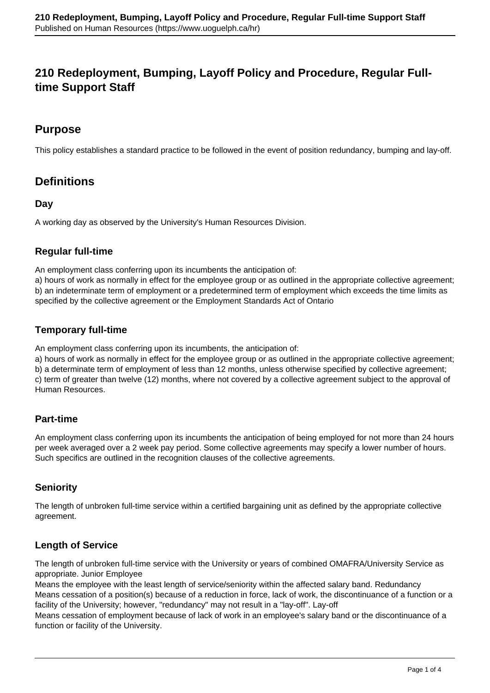# **210 Redeployment, Bumping, Layoff Policy and Procedure, Regular Fulltime Support Staff**

## **Purpose**

This policy establishes a standard practice to be followed in the event of position redundancy, bumping and lay-off.

## **Definitions**

## **Day**

A working day as observed by the University's Human Resources Division.

## **Regular full-time**

An employment class conferring upon its incumbents the anticipation of:

a) hours of work as normally in effect for the employee group or as outlined in the appropriate collective agreement; b) an indeterminate term of employment or a predetermined term of employment which exceeds the time limits as specified by the collective agreement or the Employment Standards Act of Ontario

## **Temporary full-time**

An employment class conferring upon its incumbents, the anticipation of:

a) hours of work as normally in effect for the employee group or as outlined in the appropriate collective agreement; b) a determinate term of employment of less than 12 months, unless otherwise specified by collective agreement; c) term of greater than twelve (12) months, where not covered by a collective agreement subject to the approval of Human Resources.

## **Part-time**

An employment class conferring upon its incumbents the anticipation of being employed for not more than 24 hours per week averaged over a 2 week pay period. Some collective agreements may specify a lower number of hours. Such specifics are outlined in the recognition clauses of the collective agreements.

## **Seniority**

The length of unbroken full-time service within a certified bargaining unit as defined by the appropriate collective agreement.

## **Length of Service**

The length of unbroken full-time service with the University or years of combined OMAFRA/University Service as appropriate. Junior Employee

Means the employee with the least length of service/seniority within the affected salary band. Redundancy Means cessation of a position(s) because of a reduction in force, lack of work, the discontinuance of a function or a facility of the University; however, "redundancy" may not result in a "lay-off". Lay-off

Means cessation of employment because of lack of work in an employee's salary band or the discontinuance of a function or facility of the University.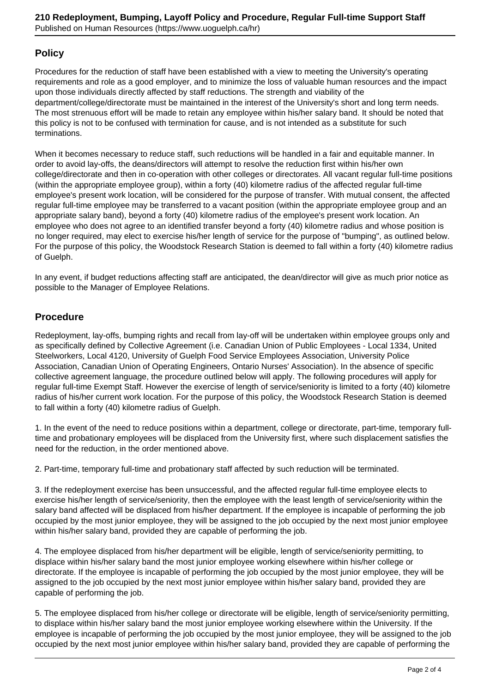## **Policy**

Procedures for the reduction of staff have been established with a view to meeting the University's operating requirements and role as a good employer, and to minimize the loss of valuable human resources and the impact upon those individuals directly affected by staff reductions. The strength and viability of the department/college/directorate must be maintained in the interest of the University's short and long term needs. The most strenuous effort will be made to retain any employee within his/her salary band. It should be noted that this policy is not to be confused with termination for cause, and is not intended as a substitute for such terminations.

When it becomes necessary to reduce staff, such reductions will be handled in a fair and equitable manner. In order to avoid lay-offs, the deans/directors will attempt to resolve the reduction first within his/her own college/directorate and then in co-operation with other colleges or directorates. All vacant regular full-time positions (within the appropriate employee group), within a forty (40) kilometre radius of the affected regular full-time employee's present work location, will be considered for the purpose of transfer. With mutual consent, the affected regular full-time employee may be transferred to a vacant position (within the appropriate employee group and an appropriate salary band), beyond a forty (40) kilometre radius of the employee's present work location. An employee who does not agree to an identified transfer beyond a forty (40) kilometre radius and whose position is no longer required, may elect to exercise his/her length of service for the purpose of "bumping", as outlined below. For the purpose of this policy, the Woodstock Research Station is deemed to fall within a forty (40) kilometre radius of Guelph.

In any event, if budget reductions affecting staff are anticipated, the dean/director will give as much prior notice as possible to the Manager of Employee Relations.

## **Procedure**

Redeployment, lay-offs, bumping rights and recall from lay-off will be undertaken within employee groups only and as specifically defined by Collective Agreement (i.e. Canadian Union of Public Employees - Local 1334, United Steelworkers, Local 4120, University of Guelph Food Service Employees Association, University Police Association, Canadian Union of Operating Engineers, Ontario Nurses' Association). In the absence of specific collective agreement language, the procedure outlined below will apply. The following procedures will apply for regular full-time Exempt Staff. However the exercise of length of service/seniority is limited to a forty (40) kilometre radius of his/her current work location. For the purpose of this policy, the Woodstock Research Station is deemed to fall within a forty (40) kilometre radius of Guelph.

1. In the event of the need to reduce positions within a department, college or directorate, part-time, temporary fulltime and probationary employees will be displaced from the University first, where such displacement satisfies the need for the reduction, in the order mentioned above.

2. Part-time, temporary full-time and probationary staff affected by such reduction will be terminated.

3. If the redeployment exercise has been unsuccessful, and the affected regular full-time employee elects to exercise his/her length of service/seniority, then the employee with the least length of service/seniority within the salary band affected will be displaced from his/her department. If the employee is incapable of performing the job occupied by the most junior employee, they will be assigned to the job occupied by the next most junior employee within his/her salary band, provided they are capable of performing the job.

4. The employee displaced from his/her department will be eligible, length of service/seniority permitting, to displace within his/her salary band the most junior employee working elsewhere within his/her college or directorate. If the employee is incapable of performing the job occupied by the most junior employee, they will be assigned to the job occupied by the next most junior employee within his/her salary band, provided they are capable of performing the job.

5. The employee displaced from his/her college or directorate will be eligible, length of service/seniority permitting, to displace within his/her salary band the most junior employee working elsewhere within the University. If the employee is incapable of performing the job occupied by the most junior employee, they will be assigned to the job occupied by the next most junior employee within his/her salary band, provided they are capable of performing the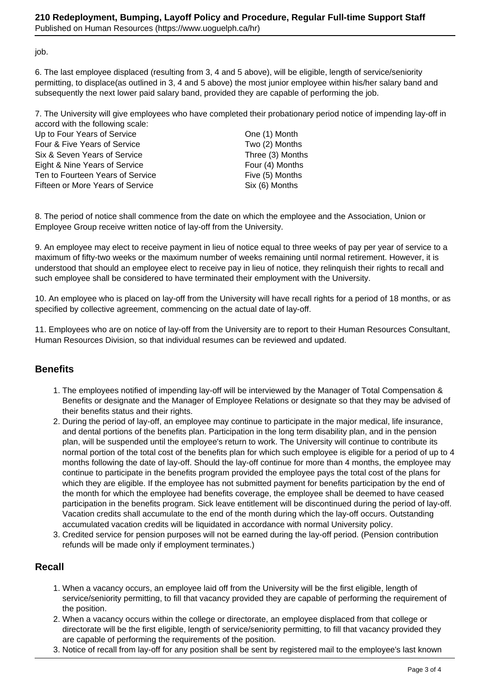job.

6. The last employee displaced (resulting from 3, 4 and 5 above), will be eligible, length of service/seniority permitting, to displace(as outlined in 3, 4 and 5 above) the most junior employee within his/her salary band and subsequently the next lower paid salary band, provided they are capable of performing the job.

7. The University will give employees who have completed their probationary period notice of impending lay-off in accord with the following scale:

| Up to Four Years of Service      |  |
|----------------------------------|--|
| Four & Five Years of Service     |  |
| Six & Seven Years of Service     |  |
| Eight & Nine Years of Service    |  |
| Ten to Fourteen Years of Service |  |
| Fifteen or More Years of Service |  |

One (1) Month Two (2) Months Three (3) Months Four (4) Months Five (5) Months  $Six (6)$  Months

8. The period of notice shall commence from the date on which the employee and the Association, Union or Employee Group receive written notice of lay-off from the University.

9. An employee may elect to receive payment in lieu of notice equal to three weeks of pay per year of service to a maximum of fifty-two weeks or the maximum number of weeks remaining until normal retirement. However, it is understood that should an employee elect to receive pay in lieu of notice, they relinquish their rights to recall and such employee shall be considered to have terminated their employment with the University.

10. An employee who is placed on lay-off from the University will have recall rights for a period of 18 months, or as specified by collective agreement, commencing on the actual date of lay-off.

11. Employees who are on notice of lay-off from the University are to report to their Human Resources Consultant, Human Resources Division, so that individual resumes can be reviewed and updated.

## **Benefits**

- 1. The employees notified of impending lay-off will be interviewed by the Manager of Total Compensation & Benefits or designate and the Manager of Employee Relations or designate so that they may be advised of their benefits status and their rights.
- 2. During the period of lay-off, an employee may continue to participate in the major medical, life insurance, and dental portions of the benefits plan. Participation in the long term disability plan, and in the pension plan, will be suspended until the employee's return to work. The University will continue to contribute its normal portion of the total cost of the benefits plan for which such employee is eligible for a period of up to 4 months following the date of lay-off. Should the lay-off continue for more than 4 months, the employee may continue to participate in the benefits program provided the employee pays the total cost of the plans for which they are eligible. If the employee has not submitted payment for benefits participation by the end of the month for which the employee had benefits coverage, the employee shall be deemed to have ceased participation in the benefits program. Sick leave entitlement will be discontinued during the period of lay-off. Vacation credits shall accumulate to the end of the month during which the lay-off occurs. Outstanding accumulated vacation credits will be liquidated in accordance with normal University policy.
- 3. Credited service for pension purposes will not be earned during the lay-off period. (Pension contribution refunds will be made only if employment terminates.)

## **Recall**

- 1. When a vacancy occurs, an employee laid off from the University will be the first eligible, length of service/seniority permitting, to fill that vacancy provided they are capable of performing the requirement of the position.
- 2. When a vacancy occurs within the college or directorate, an employee displaced from that college or directorate will be the first eligible, length of service/seniority permitting, to fill that vacancy provided they are capable of performing the requirements of the position.
- 3. Notice of recall from lay-off for any position shall be sent by registered mail to the employee's last known